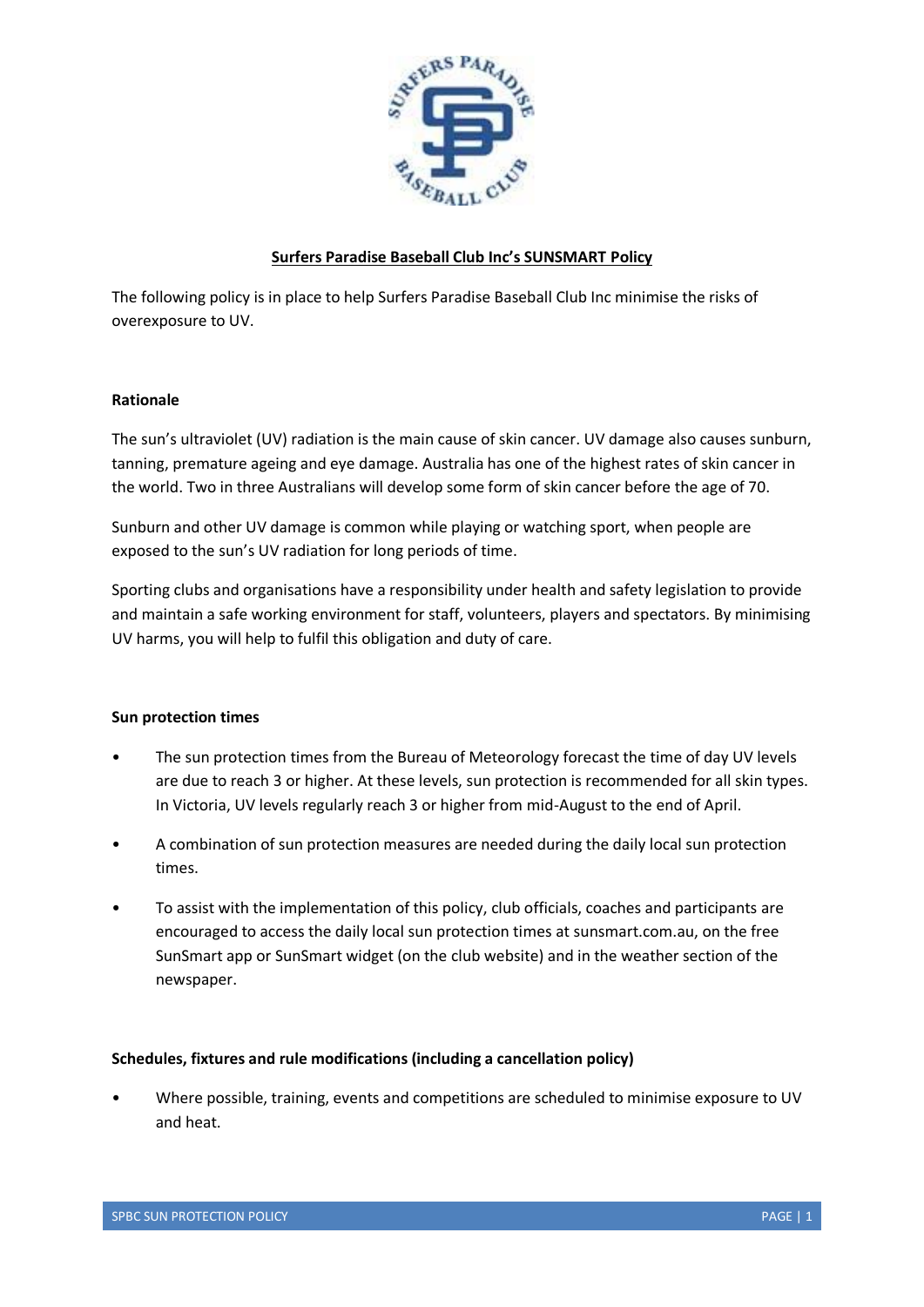

## **Surfers Paradise Baseball Club Inc's SUNSMART Policy**

The following policy is in place to help Surfers Paradise Baseball Club Inc minimise the risks of overexposure to UV.

### **Rationale**

The sun's ultraviolet (UV) radiation is the main cause of skin cancer. UV damage also causes sunburn, tanning, premature ageing and eye damage. Australia has one of the highest rates of skin cancer in the world. Two in three Australians will develop some form of skin cancer before the age of 70.

Sunburn and other UV damage is common while playing or watching sport, when people are exposed to the sun's UV radiation for long periods of time.

Sporting clubs and organisations have a responsibility under health and safety legislation to provide and maintain a safe working environment for staff, volunteers, players and spectators. By minimising UV harms, you will help to fulfil this obligation and duty of care.

### **Sun protection times**

- The sun protection times from the Bureau of Meteorology forecast the time of day UV levels are due to reach 3 or higher. At these levels, sun protection is recommended for all skin types. In Victoria, UV levels regularly reach 3 or higher from mid-August to the end of April.
- A combination of sun protection measures are needed during the daily local sun protection times.
- To assist with the implementation of this policy, club officials, coaches and participants are encouraged to access the daily local sun protection times at sunsmart.com.au, on the free SunSmart app or SunSmart widget (on the club website) and in the weather section of the newspaper.

### **Schedules, fixtures and rule modifications (including a cancellation policy)**

• Where possible, training, events and competitions are scheduled to minimise exposure to UV and heat.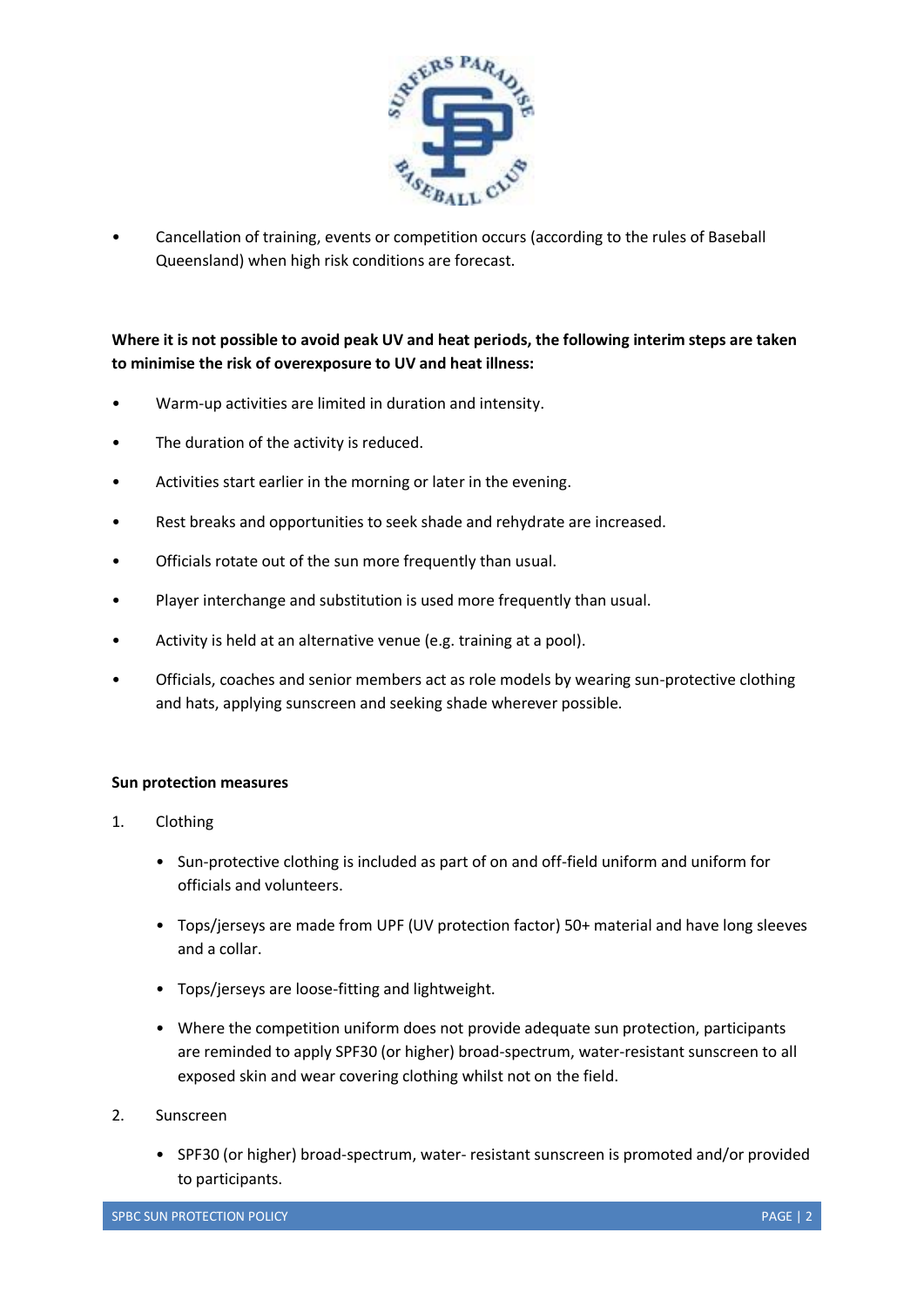

• Cancellation of training, events or competition occurs (according to the rules of Baseball Queensland) when high risk conditions are forecast.

# **Where it is not possible to avoid peak UV and heat periods, the following interim steps are taken to minimise the risk of overexposure to UV and heat illness:**

- Warm-up activities are limited in duration and intensity.
- The duration of the activity is reduced.
- Activities start earlier in the morning or later in the evening.
- Rest breaks and opportunities to seek shade and rehydrate are increased.
- Officials rotate out of the sun more frequently than usual.
- Player interchange and substitution is used more frequently than usual.
- Activity is held at an alternative venue (e.g. training at a pool).
- Officials, coaches and senior members act as role models by wearing sun-protective clothing and hats, applying sunscreen and seeking shade wherever possible.

### **Sun protection measures**

- 1. Clothing
	- Sun-protective clothing is included as part of on and off-field uniform and uniform for officials and volunteers.
	- Tops/jerseys are made from UPF (UV protection factor) 50+ material and have long sleeves and a collar.
	- Tops/jerseys are loose-fitting and lightweight.
	- Where the competition uniform does not provide adequate sun protection, participants are reminded to apply SPF30 (or higher) broad-spectrum, water-resistant sunscreen to all exposed skin and wear covering clothing whilst not on the field.
- 2. Sunscreen
	- SPF30 (or higher) broad-spectrum, water- resistant sunscreen is promoted and/or provided to participants.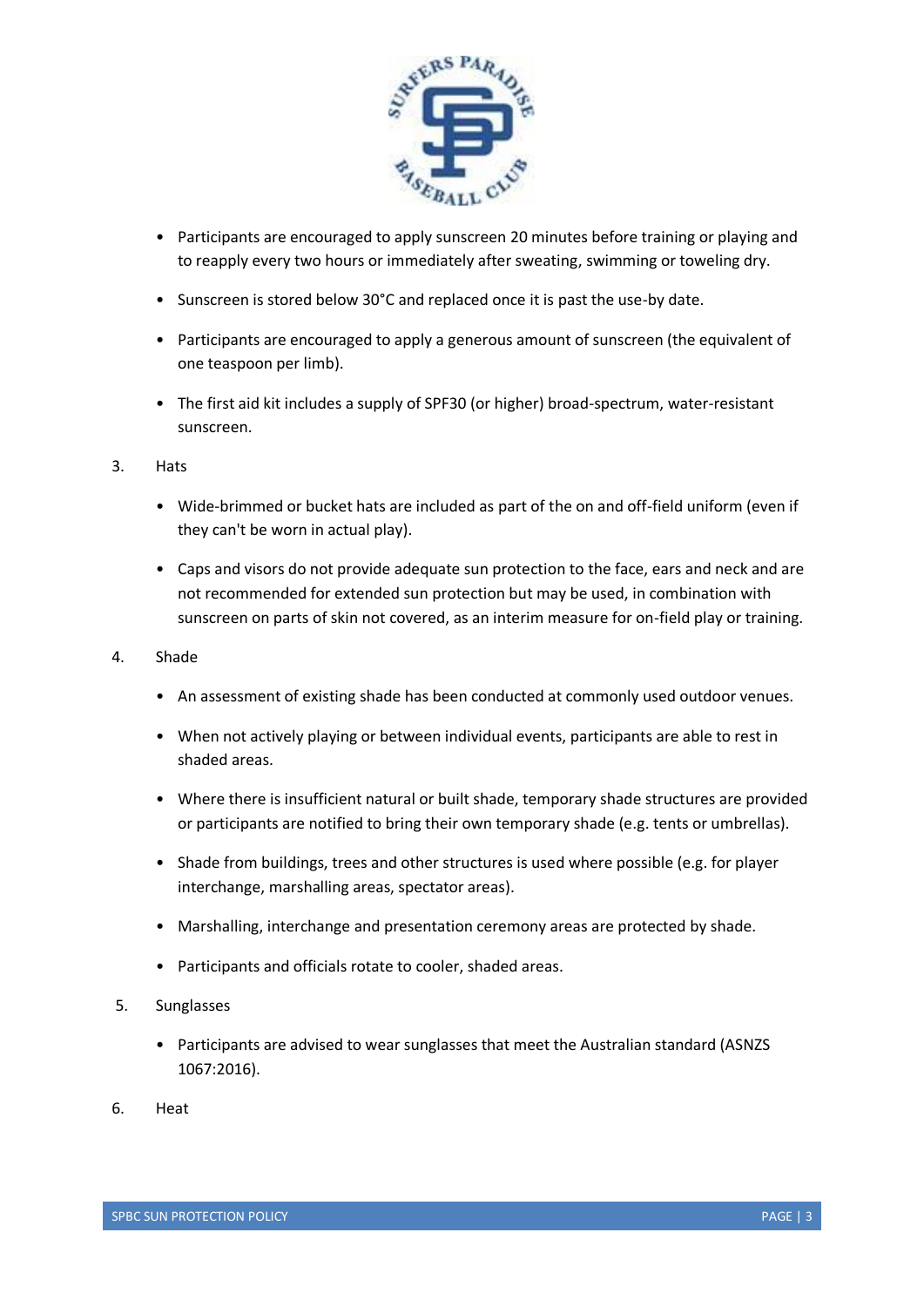

- Participants are encouraged to apply sunscreen 20 minutes before training or playing and to reapply every two hours or immediately after sweating, swimming or toweling dry.
- Sunscreen is stored below 30°C and replaced once it is past the use-by date.
- Participants are encouraged to apply a generous amount of sunscreen (the equivalent of one teaspoon per limb).
- The first aid kit includes a supply of SPF30 (or higher) broad-spectrum, water-resistant sunscreen.
- 3. Hats
	- Wide-brimmed or bucket hats are included as part of the on and off-field uniform (even if they can't be worn in actual play).
	- Caps and visors do not provide adequate sun protection to the face, ears and neck and are not recommended for extended sun protection but may be used, in combination with sunscreen on parts of skin not covered, as an interim measure for on-field play or training.
- 4. Shade
	- An assessment of existing shade has been conducted at commonly used outdoor venues.
	- When not actively playing or between individual events, participants are able to rest in shaded areas.
	- Where there is insufficient natural or built shade, temporary shade structures are provided or participants are notified to bring their own temporary shade (e.g. tents or umbrellas).
	- Shade from buildings, trees and other structures is used where possible (e.g. for player interchange, marshalling areas, spectator areas).
	- Marshalling, interchange and presentation ceremony areas are protected by shade.
	- Participants and officials rotate to cooler, shaded areas.
- 5. Sunglasses
	- Participants are advised to wear sunglasses that meet the Australian standard (ASNZS) 1067:2016).
- 6. Heat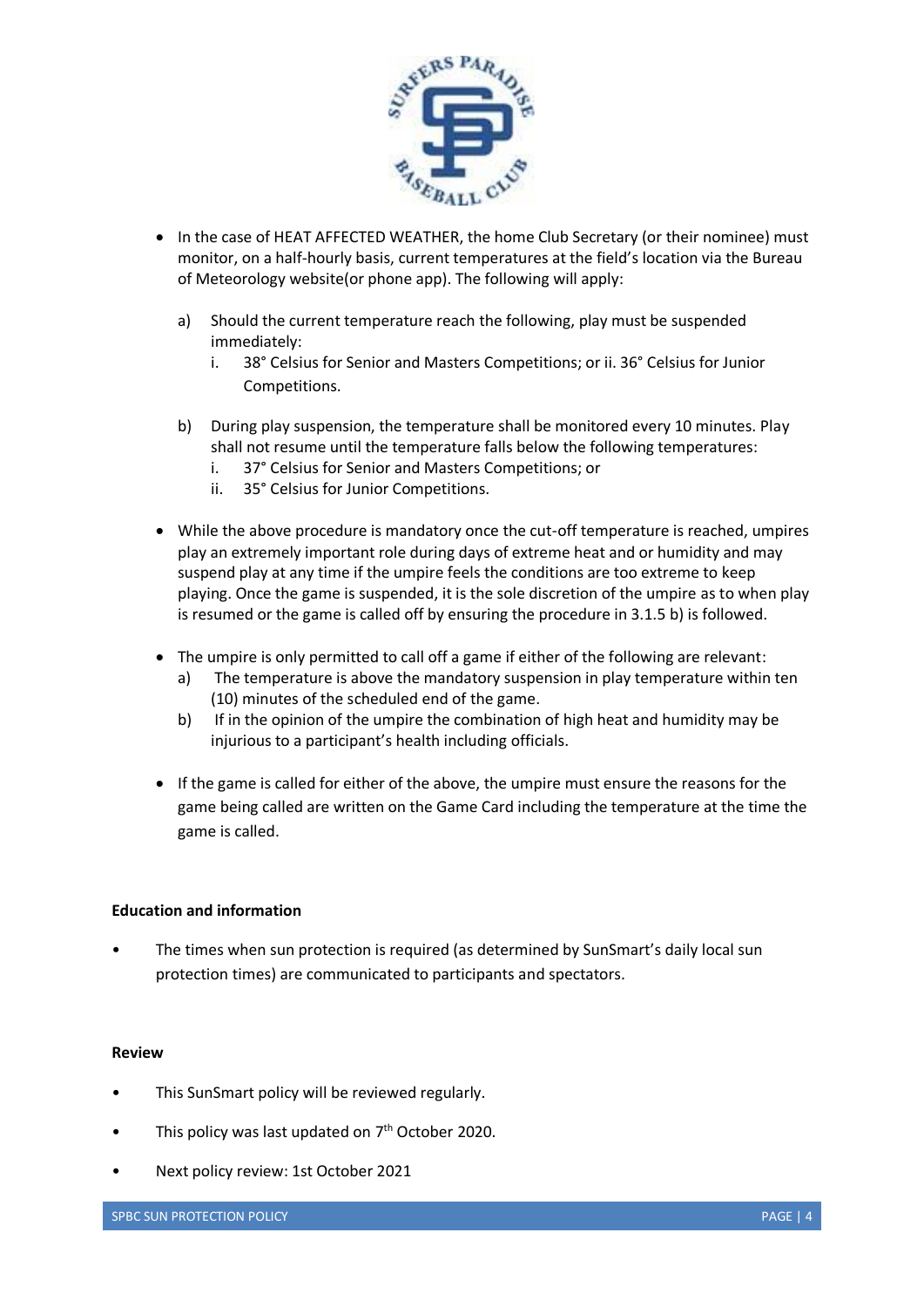

- In the case of HEAT AFFECTED WEATHER, the home Club Secretary (or their nominee) must monitor, on a half-hourly basis, current temperatures at the field's location via the Bureau of Meteorology website(or phone app). The following will apply:
	- a) Should the current temperature reach the following, play must be suspended immediately:
		- i. 38° Celsius for Senior and Masters Competitions; or ii. 36° Celsius for Junior Competitions.
	- b) During play suspension, the temperature shall be monitored every 10 minutes. Play shall not resume until the temperature falls below the following temperatures:
		- i. 37° Celsius for Senior and Masters Competitions; or
		- ii. 35° Celsius for Junior Competitions.
- While the above procedure is mandatory once the cut-off temperature is reached, umpires play an extremely important role during days of extreme heat and or humidity and may suspend play at any time if the umpire feels the conditions are too extreme to keep playing. Once the game is suspended, it is the sole discretion of the umpire as to when play is resumed or the game is called off by ensuring the procedure in 3.1.5 b) is followed.
- The umpire is only permitted to call off a game if either of the following are relevant:
	- a) The temperature is above the mandatory suspension in play temperature within ten (10) minutes of the scheduled end of the game.
	- b) If in the opinion of the umpire the combination of high heat and humidity may be injurious to a participant's health including officials.
- If the game is called for either of the above, the umpire must ensure the reasons for the game being called are written on the Game Card including the temperature at the time the game is called.

### **Education and information**

• The times when sun protection is required (as determined by SunSmart's daily local sun protection times) are communicated to participants and spectators.

### **Review**

- This SunSmart policy will be reviewed regularly.
- This policy was last updated on  $7<sup>th</sup>$  October 2020.
- Next policy review: 1st October 2021